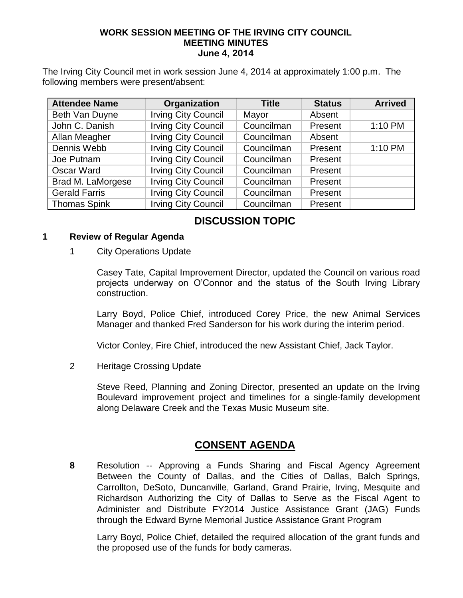### **WORK SESSION MEETING OF THE IRVING CITY COUNCIL MEETING MINUTES June 4, 2014**

The Irving City Council met in work session June 4, 2014 at approximately 1:00 p.m. The following members were present/absent:

| <b>Attendee Name</b> | Organization               | <b>Title</b> | <b>Status</b> | <b>Arrived</b> |
|----------------------|----------------------------|--------------|---------------|----------------|
| Beth Van Duyne       | <b>Irving City Council</b> | Mayor        | Absent        |                |
| John C. Danish       | <b>Irving City Council</b> | Councilman   | Present       | 1:10 PM        |
| Allan Meagher        | <b>Irving City Council</b> | Councilman   | Absent        |                |
| Dennis Webb          | <b>Irving City Council</b> | Councilman   | Present       | 1:10 PM        |
| Joe Putnam           | <b>Irving City Council</b> | Councilman   | Present       |                |
| Oscar Ward           | <b>Irving City Council</b> | Councilman   | Present       |                |
| Brad M. LaMorgese    | <b>Irving City Council</b> | Councilman   | Present       |                |
| <b>Gerald Farris</b> | <b>Irving City Council</b> | Councilman   | Present       |                |
| <b>Thomas Spink</b>  | <b>Irving City Council</b> | Councilman   | Present       |                |

# **DISCUSSION TOPIC**

### **1 Review of Regular Agenda**

1 City Operations Update

Casey Tate, Capital Improvement Director, updated the Council on various road projects underway on O'Connor and the status of the South Irving Library construction.

Larry Boyd, Police Chief, introduced Corey Price, the new Animal Services Manager and thanked Fred Sanderson for his work during the interim period.

Victor Conley, Fire Chief, introduced the new Assistant Chief, Jack Taylor.

2 Heritage Crossing Update

Steve Reed, Planning and Zoning Director, presented an update on the Irving Boulevard improvement project and timelines for a single-family development along Delaware Creek and the Texas Music Museum site.

## **CONSENT AGENDA**

**8** Resolution -- Approving a Funds Sharing and Fiscal Agency Agreement Between the County of Dallas, and the Cities of Dallas, Balch Springs, Carrollton, DeSoto, Duncanville, Garland, Grand Prairie, Irving, Mesquite and Richardson Authorizing the City of Dallas to Serve as the Fiscal Agent to Administer and Distribute FY2014 Justice Assistance Grant (JAG) Funds through the Edward Byrne Memorial Justice Assistance Grant Program

Larry Boyd, Police Chief, detailed the required allocation of the grant funds and the proposed use of the funds for body cameras.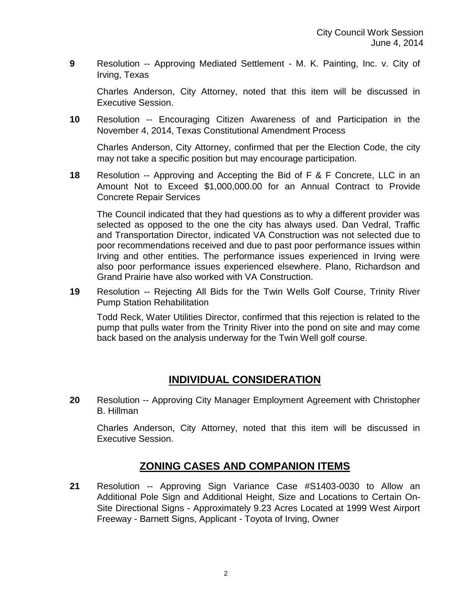**9** Resolution -- Approving Mediated Settlement - M. K. Painting, Inc. v. City of Irving, Texas

Charles Anderson, City Attorney, noted that this item will be discussed in Executive Session.

**10** Resolution -- Encouraging Citizen Awareness of and Participation in the November 4, 2014, Texas Constitutional Amendment Process

Charles Anderson, City Attorney, confirmed that per the Election Code, the city may not take a specific position but may encourage participation.

**18** Resolution -- Approving and Accepting the Bid of F & F Concrete, LLC in an Amount Not to Exceed \$1,000,000.00 for an Annual Contract to Provide Concrete Repair Services

The Council indicated that they had questions as to why a different provider was selected as opposed to the one the city has always used. Dan Vedral, Traffic and Transportation Director, indicated VA Construction was not selected due to poor recommendations received and due to past poor performance issues within Irving and other entities. The performance issues experienced in Irving were also poor performance issues experienced elsewhere. Plano, Richardson and Grand Prairie have also worked with VA Construction.

**19** Resolution -- Rejecting All Bids for the Twin Wells Golf Course, Trinity River Pump Station Rehabilitation

Todd Reck, Water Utilities Director, confirmed that this rejection is related to the pump that pulls water from the Trinity River into the pond on site and may come back based on the analysis underway for the Twin Well golf course.

## **INDIVIDUAL CONSIDERATION**

**20** Resolution -- Approving City Manager Employment Agreement with Christopher B. Hillman

Charles Anderson, City Attorney, noted that this item will be discussed in Executive Session.

## **ZONING CASES AND COMPANION ITEMS**

**21** Resolution -- Approving Sign Variance Case #S1403-0030 to Allow an Additional Pole Sign and Additional Height, Size and Locations to Certain On-Site Directional Signs - Approximately 9.23 Acres Located at 1999 West Airport Freeway - Barnett Signs, Applicant - Toyota of Irving, Owner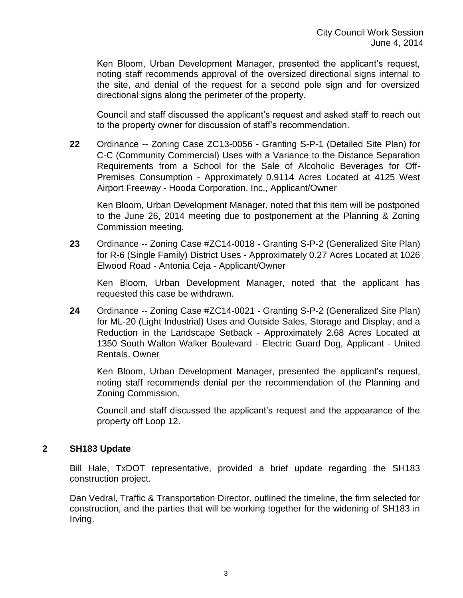Ken Bloom, Urban Development Manager, presented the applicant's request, noting staff recommends approval of the oversized directional signs internal to the site, and denial of the request for a second pole sign and for oversized directional signs along the perimeter of the property.

Council and staff discussed the applicant's request and asked staff to reach out to the property owner for discussion of staff's recommendation.

**22** Ordinance -- Zoning Case ZC13-0056 - Granting S-P-1 (Detailed Site Plan) for C-C (Community Commercial) Uses with a Variance to the Distance Separation Requirements from a School for the Sale of Alcoholic Beverages for Off-Premises Consumption - Approximately 0.9114 Acres Located at 4125 West Airport Freeway - Hooda Corporation, Inc., Applicant/Owner

Ken Bloom, Urban Development Manager, noted that this item will be postponed to the June 26, 2014 meeting due to postponement at the Planning & Zoning Commission meeting.

**23** Ordinance -- Zoning Case #ZC14-0018 - Granting S-P-2 (Generalized Site Plan) for R-6 (Single Family) District Uses - Approximately 0.27 Acres Located at 1026 Elwood Road - Antonia Ceja - Applicant/Owner

Ken Bloom, Urban Development Manager, noted that the applicant has requested this case be withdrawn.

**24** Ordinance -- Zoning Case #ZC14-0021 - Granting S-P-2 (Generalized Site Plan) for ML-20 (Light Industrial) Uses and Outside Sales, Storage and Display, and a Reduction in the Landscape Setback - Approximately 2.68 Acres Located at 1350 South Walton Walker Boulevard - Electric Guard Dog, Applicant - United Rentals, Owner

Ken Bloom, Urban Development Manager, presented the applicant's request, noting staff recommends denial per the recommendation of the Planning and Zoning Commission.

Council and staff discussed the applicant's request and the appearance of the property off Loop 12.

## **2 SH183 Update**

Bill Hale, TxDOT representative, provided a brief update regarding the SH183 construction project.

Dan Vedral, Traffic & Transportation Director, outlined the timeline, the firm selected for construction, and the parties that will be working together for the widening of SH183 in Irving.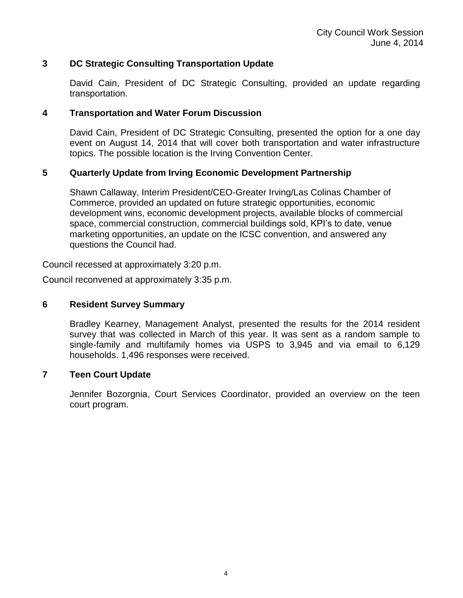## **3 DC Strategic Consulting Transportation Update**

David Cain, President of DC Strategic Consulting, provided an update regarding transportation.

### **4 Transportation and Water Forum Discussion**

David Cain, President of DC Strategic Consulting, presented the option for a one day event on August 14, 2014 that will cover both transportation and water infrastructure topics. The possible location is the Irving Convention Center.

## **5 Quarterly Update from Irving Economic Development Partnership**

Shawn Callaway, Interim President/CEO-Greater Irving/Las Colinas Chamber of Commerce, provided an updated on future strategic opportunities, economic development wins, economic development projects, available blocks of commercial space, commercial construction, commercial buildings sold, KPI's to date, venue marketing opportunities, an update on the ICSC convention, and answered any questions the Council had.

Council recessed at approximately 3:20 p.m.

Council reconvened at approximately 3:35 p.m.

## **6 Resident Survey Summary**

Bradley Kearney, Management Analyst, presented the results for the 2014 resident survey that was collected in March of this year. It was sent as a random sample to single-family and multifamily homes via USPS to 3,945 and via email to 6,129 households. 1,496 responses were received.

## **7 Teen Court Update**

Jennifer Bozorgnia, Court Services Coordinator, provided an overview on the teen court program.